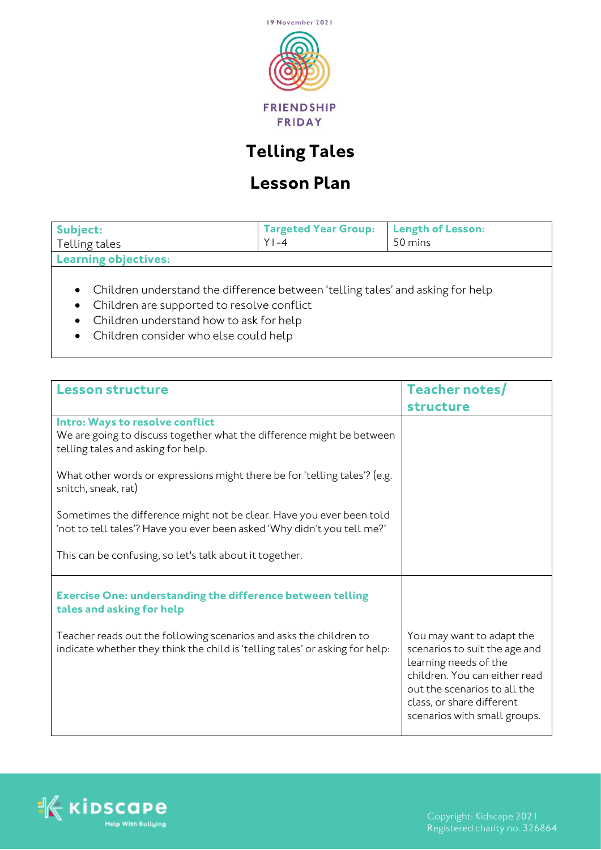

## **Telling Tales**

## **Lesson Plan**

| Subject:<br>Telling tales                                                                           | Targeted Year Group:   Length of Lesson:<br>$Y$ l-4 | 50 mins |
|-----------------------------------------------------------------------------------------------------|-----------------------------------------------------|---------|
| Learning objectives:                                                                                |                                                     |         |
| real Childhean and an ann aighead the compact handles and the most collected and the first model of |                                                     |         |

- Children understand the difference between 'telling tales' and asking for help
- Children are supported to resolve conflict
- Children understand how to ask for help
- Children consider who else could help

| <b>Lesson structure</b>                                                                                                                            | Teacher notes/                                                                                                                                                                                                    |
|----------------------------------------------------------------------------------------------------------------------------------------------------|-------------------------------------------------------------------------------------------------------------------------------------------------------------------------------------------------------------------|
|                                                                                                                                                    | <b>structure</b>                                                                                                                                                                                                  |
| Intro: Ways to resolve conflict<br>We are going to discuss together what the difference might be between<br>telling tales and asking for help.     |                                                                                                                                                                                                                   |
| What other words or expressions might there be for 'telling tales'? (e.g.<br>snitch, sneak, rat)                                                   |                                                                                                                                                                                                                   |
| Sometimes the difference might not be clear. Have you ever been told<br>'not to tell tales'? Have you ever been asked 'Why didn't you tell me?'    |                                                                                                                                                                                                                   |
| This can be confusing, so let's talk about it together.                                                                                            |                                                                                                                                                                                                                   |
| <b>Exercise One: understanding the difference between telling</b><br>tales and asking for help                                                     |                                                                                                                                                                                                                   |
| Teacher reads out the following scenarios and asks the children to<br>indicate whether they think the child is 'telling tales' or asking for help: | You may want to adapt the<br>scenarios to suit the age and<br>learning needs of the<br>children. You can either read<br>out the scenarios to all the<br>class, or share different<br>scenarios with small groups. |



Registered charity no. 326864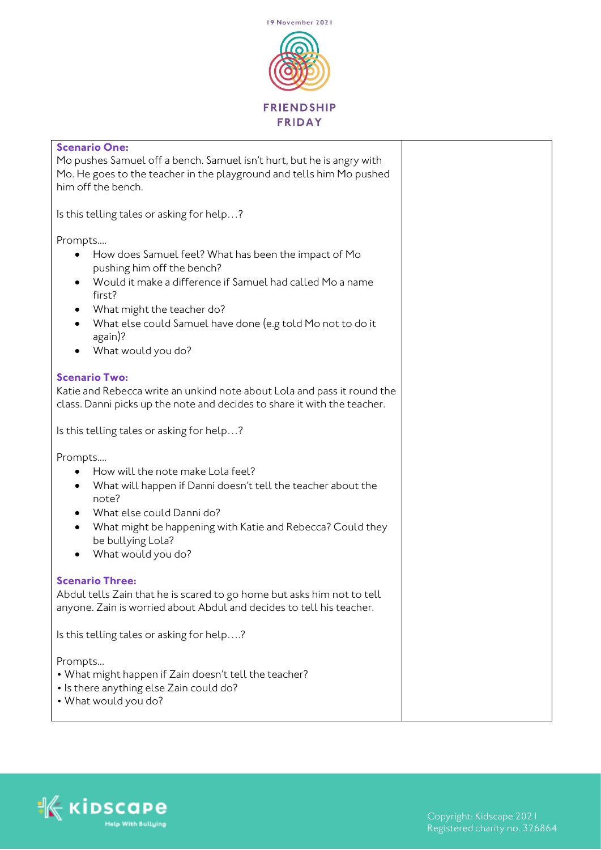

| <b>Scenario One:</b>                                                                            |  |
|-------------------------------------------------------------------------------------------------|--|
| Mo pushes Samuel off a bench. Samuel isn't hurt, but he is angry with                           |  |
| Mo. He goes to the teacher in the playground and tells him Mo pushed<br>him off the bench.      |  |
|                                                                                                 |  |
| Is this telling tales or asking for help?                                                       |  |
| Prompts                                                                                         |  |
| How does Samuel feel? What has been the impact of Mo<br>pushing him off the bench?              |  |
| Would it make a difference if Samuel had called Mo a name<br>٠                                  |  |
| first?                                                                                          |  |
| What might the teacher do?<br>٠                                                                 |  |
| What else could Samuel have done (e.g told Mo not to do it<br>$\bullet$<br>again)?              |  |
| What would you do?                                                                              |  |
|                                                                                                 |  |
| <b>Scenario Two:</b><br>Katie and Rebecca write an unkind note about Lola and pass it round the |  |
| class. Danni picks up the note and decides to share it with the teacher.                        |  |
|                                                                                                 |  |
| Is this telling tales or asking for help?                                                       |  |
| Prompts                                                                                         |  |
| How will the note make Lola feel?                                                               |  |
| What will happen if Danni doesn't tell the teacher about the<br>$\bullet$                       |  |
| note?<br>What else could Danni do?                                                              |  |
| What might be happening with Katie and Rebecca? Could they<br>٠                                 |  |
| be bullying Lola?                                                                               |  |
| What would you do?                                                                              |  |
| <b>Scenario Three:</b>                                                                          |  |
| Abdul tells Zain that he is scared to go home but asks him not to tell                          |  |
| anyone. Zain is worried about Abdul and decides to tell his teacher.                            |  |
| Is this telling tales or asking for help?                                                       |  |
| Prompts                                                                                         |  |
| • What might happen if Zain doesn't tell the teacher?                                           |  |
| • Is there anything else Zain could do?                                                         |  |
| • What would you do?                                                                            |  |

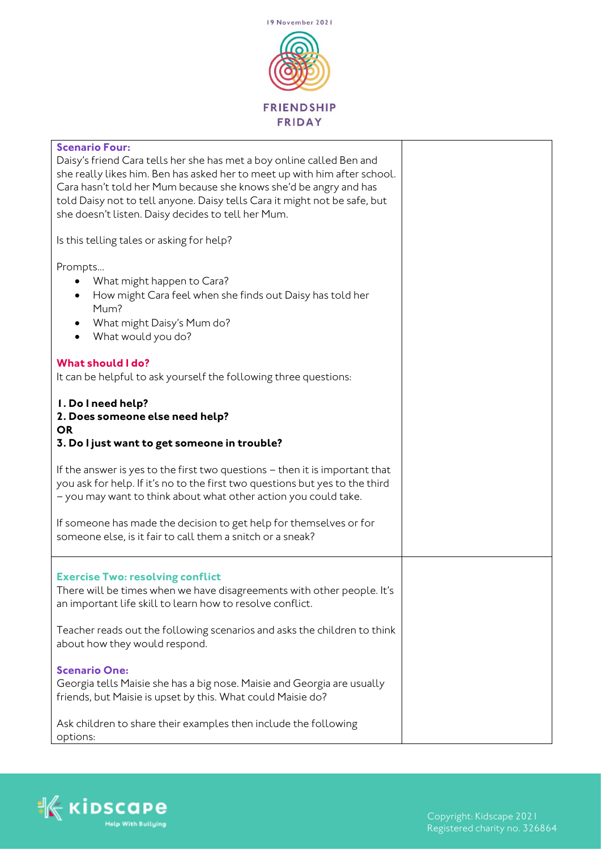

| <b>Scenario Four:</b><br>Daisy's friend Cara tells her she has met a boy online called Ben and<br>she really likes him. Ben has asked her to meet up with him after school.<br>Cara hasn't told her Mum because she knows she'd be angry and has<br>told Daisy not to tell anyone. Daisy tells Cara it might not be safe, but<br>she doesn't listen. Daisy decides to tell her Mum. |  |
|-------------------------------------------------------------------------------------------------------------------------------------------------------------------------------------------------------------------------------------------------------------------------------------------------------------------------------------------------------------------------------------|--|
| Is this telling tales or asking for help?                                                                                                                                                                                                                                                                                                                                           |  |
| Prompts<br>What might happen to Cara?<br>How might Cara feel when she finds out Daisy has told her<br>Mum?<br>What might Daisy's Mum do?<br>What would you do?                                                                                                                                                                                                                      |  |
| <b>What should I do?</b><br>It can be helpful to ask yourself the following three questions:                                                                                                                                                                                                                                                                                        |  |
| 1. Do I need help?<br>2. Does someone else need help?<br><b>OR</b><br>3. Do I just want to get someone in trouble?                                                                                                                                                                                                                                                                  |  |
| If the answer is yes to the first two questions - then it is important that<br>you ask for help. If it's no to the first two questions but yes to the third<br>- you may want to think about what other action you could take.                                                                                                                                                      |  |
| If someone has made the decision to get help for themselves or for<br>someone else, is it fair to call them a snitch or a sneak?                                                                                                                                                                                                                                                    |  |
| <b>Exercise Two: resolving conflict</b><br>There will be times when we have disagreements with other people. It's<br>an important life skill to learn how to resolve conflict.                                                                                                                                                                                                      |  |
| Teacher reads out the following scenarios and asks the children to think<br>about how they would respond.                                                                                                                                                                                                                                                                           |  |
| <b>Scenario One:</b><br>Georgia tells Maisie she has a big nose. Maisie and Georgia are usually<br>friends, but Maisie is upset by this. What could Maisie do?                                                                                                                                                                                                                      |  |
| Ask children to share their examples then include the following<br>options:                                                                                                                                                                                                                                                                                                         |  |

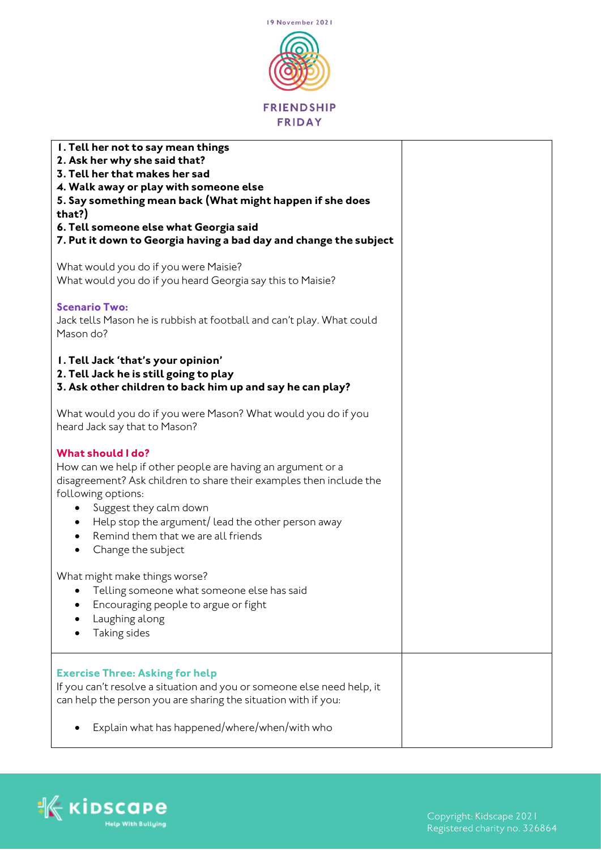

| I. Tell her not to say mean things<br>2. Ask her why she said that?<br>3. Tell her that makes her sad<br>4. Walk away or play with someone else<br>5. Say something mean back (What might happen if she does<br>that?)<br>6. Tell someone else what Georgia said<br>7. Put it down to Georgia having a bad day and change the subject                                                                                                                                                           |  |
|-------------------------------------------------------------------------------------------------------------------------------------------------------------------------------------------------------------------------------------------------------------------------------------------------------------------------------------------------------------------------------------------------------------------------------------------------------------------------------------------------|--|
| What would you do if you were Maisie?<br>What would you do if you heard Georgia say this to Maisie?                                                                                                                                                                                                                                                                                                                                                                                             |  |
| <b>Scenario Two:</b><br>Jack tells Mason he is rubbish at football and can't play. What could<br>Mason do?                                                                                                                                                                                                                                                                                                                                                                                      |  |
| I. Tell Jack 'that's your opinion'<br>2. Tell Jack he is still going to play<br>3. Ask other children to back him up and say he can play?                                                                                                                                                                                                                                                                                                                                                       |  |
| What would you do if you were Mason? What would you do if you<br>heard Jack say that to Mason?                                                                                                                                                                                                                                                                                                                                                                                                  |  |
| <b>What should I do?</b><br>How can we help if other people are having an argument or a<br>disagreement? Ask children to share their examples then include the<br>following options:<br>Suggest they calm down<br>Help stop the argument/ lead the other person away<br>$\bullet$<br>Remind them that we are all friends<br>$\bullet$<br>Change the subject<br>$\bullet$<br>What might make things worse?<br>Telling someone what someone else has said<br>Encouraging people to argue or fight |  |
| Laughing along<br>Taking sides                                                                                                                                                                                                                                                                                                                                                                                                                                                                  |  |
| <b>Exercise Three: Asking for help</b><br>If you can't resolve a situation and you or someone else need help, it<br>can help the person you are sharing the situation with if you:                                                                                                                                                                                                                                                                                                              |  |
| Explain what has happened/where/when/with who                                                                                                                                                                                                                                                                                                                                                                                                                                                   |  |